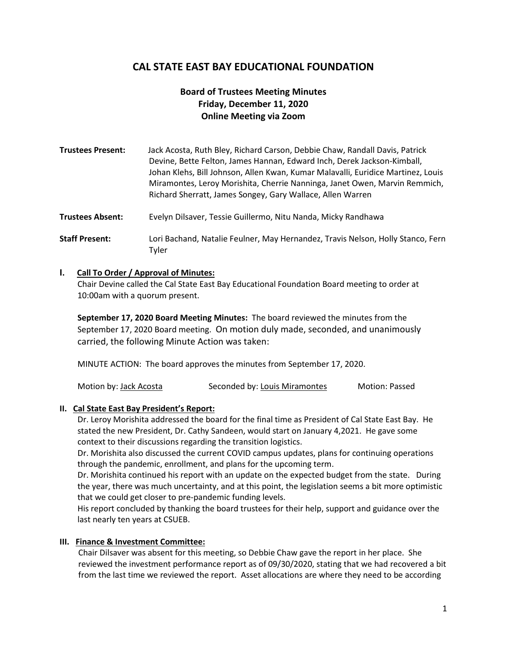## **CAL STATE EAST BAY EDUCATIONAL FOUNDATION**

### **Board of Trustees Meeting Minutes Friday, December 11, 2020 Online Meeting via Zoom**

| <b>Trustees Present:</b> | Jack Acosta, Ruth Bley, Richard Carson, Debbie Chaw, Randall Davis, Patrick<br>Devine, Bette Felton, James Hannan, Edward Inch, Derek Jackson-Kimball,<br>Johan Klehs, Bill Johnson, Allen Kwan, Kumar Malavalli, Euridice Martinez, Louis<br>Miramontes, Leroy Morishita, Cherrie Nanninga, Janet Owen, Marvin Remmich,<br>Richard Sherratt, James Songey, Gary Wallace, Allen Warren |
|--------------------------|----------------------------------------------------------------------------------------------------------------------------------------------------------------------------------------------------------------------------------------------------------------------------------------------------------------------------------------------------------------------------------------|
| <b>Trustees Absent:</b>  | Evelyn Dilsaver, Tessie Guillermo, Nitu Nanda, Micky Randhawa                                                                                                                                                                                                                                                                                                                          |
| <b>Staff Present:</b>    | Lori Bachand, Natalie Feulner, May Hernandez, Travis Nelson, Holly Stanco, Fern<br>Tyler                                                                                                                                                                                                                                                                                               |

#### **I. Call To Order / Approval of Minutes:**

Chair Devine called the Cal State East Bay Educational Foundation Board meeting to order at 10:00am with a quorum present.

**September 17, 2020 Board Meeting Minutes:** The board reviewed the minutes from the September 17, 2020 Board meeting. On motion duly made, seconded, and unanimously carried, the following Minute Action was taken:

MINUTE ACTION: The board approves the minutes from September 17, 2020.

| Motion by: Jack Acosta | Seconded by: Louis Miramontes | <b>Motion: Passed</b> |
|------------------------|-------------------------------|-----------------------|
|------------------------|-------------------------------|-----------------------|

#### **II. Cal State East Bay President's Report:**

Dr. Leroy Morishita addressed the board for the final time as President of Cal State East Bay. He stated the new President, Dr. Cathy Sandeen, would start on January 4,2021. He gave some context to their discussions regarding the transition logistics.

Dr. Morishita also discussed the current COVID campus updates, plans for continuing operations through the pandemic, enrollment, and plans for the upcoming term.

Dr. Morishita continued his report with an update on the expected budget from the state. During the year, there was much uncertainty, and at this point, the legislation seems a bit more optimistic that we could get closer to pre-pandemic funding levels.

His report concluded by thanking the board trustees for their help, support and guidance over the last nearly ten years at CSUEB.

#### **III. Finance & Investment Committee:**

Chair Dilsaver was absent for this meeting, so Debbie Chaw gave the report in her place. She reviewed the investment performance report as of 09/30/2020, stating that we had recovered a bit from the last time we reviewed the report. Asset allocations are where they need to be according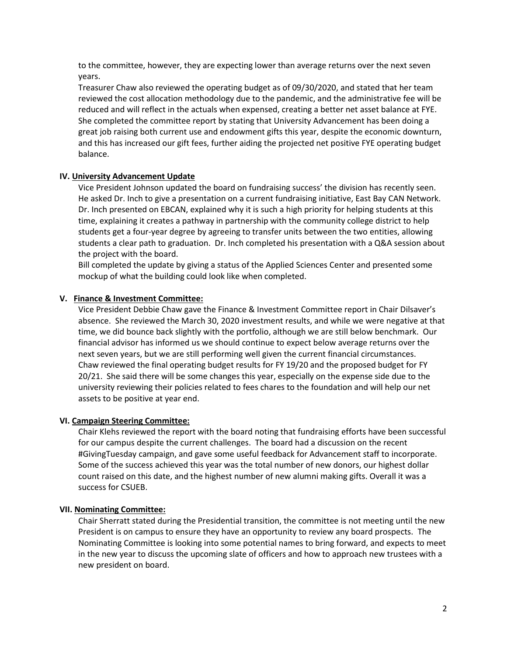to the committee, however, they are expecting lower than average returns over the next seven years.

Treasurer Chaw also reviewed the operating budget as of 09/30/2020, and stated that her team reviewed the cost allocation methodology due to the pandemic, and the administrative fee will be reduced and will reflect in the actuals when expensed, creating a better net asset balance at FYE. She completed the committee report by stating that University Advancement has been doing a great job raising both current use and endowment gifts this year, despite the economic downturn, and this has increased our gift fees, further aiding the projected net positive FYE operating budget balance.

#### **IV. University Advancement Update**

Vice President Johnson updated the board on fundraising success' the division has recently seen. He asked Dr. Inch to give a presentation on a current fundraising initiative, East Bay CAN Network. Dr. Inch presented on EBCAN, explained why it is such a high priority for helping students at this time, explaining it creates a pathway in partnership with the community college district to help students get a four-year degree by agreeing to transfer units between the two entities, allowing students a clear path to graduation. Dr. Inch completed his presentation with a Q&A session about the project with the board.

Bill completed the update by giving a status of the Applied Sciences Center and presented some mockup of what the building could look like when completed.

#### **V. Finance & Investment Committee:**

Vice President Debbie Chaw gave the Finance & Investment Committee report in Chair Dilsaver's absence. She reviewed the March 30, 2020 investment results, and while we were negative at that time, we did bounce back slightly with the portfolio, although we are still below benchmark. Our financial advisor has informed us we should continue to expect below average returns over the next seven years, but we are still performing well given the current financial circumstances. Chaw reviewed the final operating budget results for FY 19/20 and the proposed budget for FY 20/21. She said there will be some changes this year, especially on the expense side due to the university reviewing their policies related to fees chares to the foundation and will help our net assets to be positive at year end.

#### **VI. Campaign Steering Committee:**

Chair Klehs reviewed the report with the board noting that fundraising efforts have been successful for our campus despite the current challenges. The board had a discussion on the recent #GivingTuesday campaign, and gave some useful feedback for Advancement staff to incorporate. Some of the success achieved this year was the total number of new donors, our highest dollar count raised on this date, and the highest number of new alumni making gifts. Overall it was a success for CSUEB.

#### **VII. Nominating Committee:**

Chair Sherratt stated during the Presidential transition, the committee is not meeting until the new President is on campus to ensure they have an opportunity to review any board prospects. The Nominating Committee is looking into some potential names to bring forward, and expects to meet in the new year to discuss the upcoming slate of officers and how to approach new trustees with a new president on board.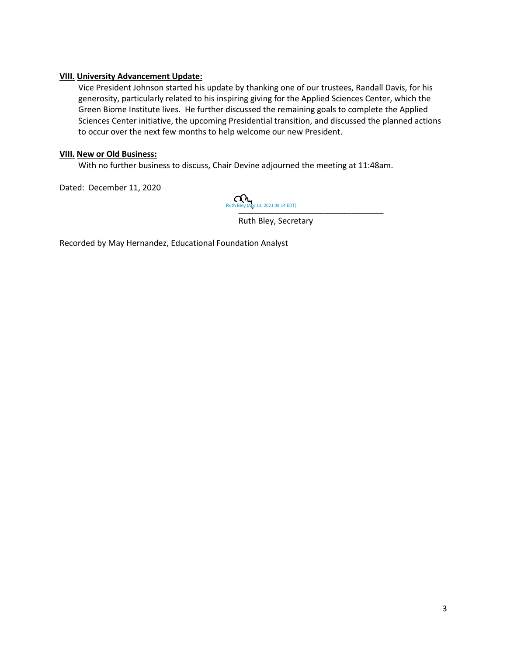#### **VIII. University Advancement Update:**

Vice President Johnson started his update by thanking one of our trustees, Randall Davis, for his generosity, particularly related to his inspiring giving for the Applied Sciences Center, which the Green Biome Institute lives. He further discussed the remaining goals to complete the Applied Sciences Center initiative, the upcoming Presidential transition, and discussed the planned actions to occur over the next few months to help welcome our new President.

#### **VIII. New or Old Business:**

With no further business to discuss, Chair Devine adjourned the meeting at 11:48am.

Dated: December 11, 2020

[\\_\\_\\_\\_\\_\\_\\_\\_\\_\\_\\_\\_\\_\\_\\_\\_\\_\\_\\_\\_\\_\\_\\_\\_\\_\\_\\_\\_\\_\\_\\_\\_](https://csueastbay.na2.documents.adobe.com/verifier?tx=CBJCHBCAABAA3CeHGusMNQAyu1f9_vBKRUVcNC2avMLE) Ruth Bley (Apr 13, 2021 08:14 EDT)

Ruth Bley, Secretary

Recorded by May Hernandez, Educational Foundation Analyst